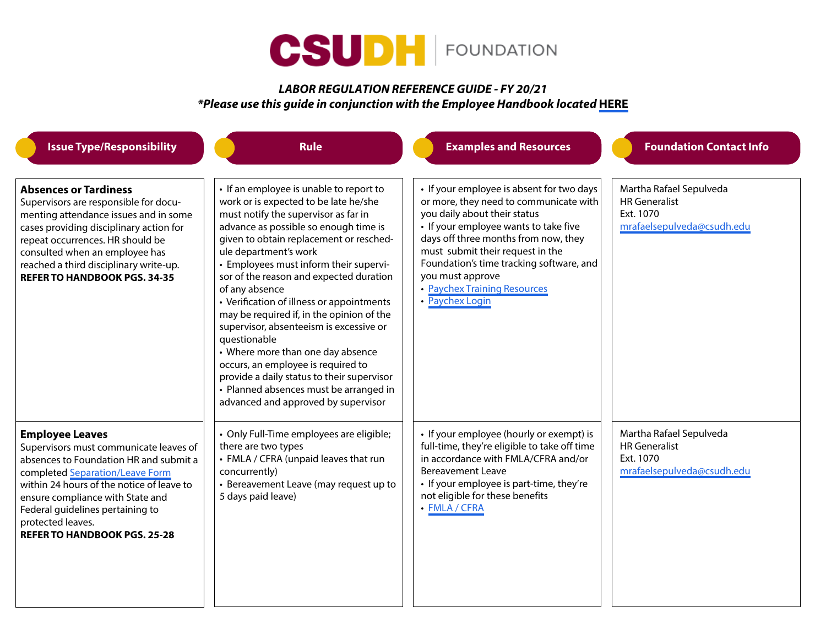

## *LABOR* **REGULATION REFERENCE GUIDE** *- FY 20/21 \*Please use this guide in conjunction with the Employee Handbook located* **[HERE](https://csudhfoundation.com/wp-content/uploads/2021/01/Employee-Handbook-FY-20-21.pdf)**

| <b>Issue Type/Responsibility</b>                                                                                                                                                                                                                                                                                               | <b>Rule</b>                                                                                                                                                                                                                                                                                                                                                                                                                                                                                                                                                                                                                                                                                                 | <b>Examples and Resources</b>                                                                                                                                                                                                                                                                                                                               | <b>Foundation Contact Info</b>                                                             |
|--------------------------------------------------------------------------------------------------------------------------------------------------------------------------------------------------------------------------------------------------------------------------------------------------------------------------------|-------------------------------------------------------------------------------------------------------------------------------------------------------------------------------------------------------------------------------------------------------------------------------------------------------------------------------------------------------------------------------------------------------------------------------------------------------------------------------------------------------------------------------------------------------------------------------------------------------------------------------------------------------------------------------------------------------------|-------------------------------------------------------------------------------------------------------------------------------------------------------------------------------------------------------------------------------------------------------------------------------------------------------------------------------------------------------------|--------------------------------------------------------------------------------------------|
| <b>Absences or Tardiness</b><br>Supervisors are responsible for docu-<br>menting attendance issues and in some<br>cases providing disciplinary action for<br>repeat occurrences. HR should be<br>consulted when an employee has<br>reached a third disciplinary write-up.<br><b>REFER TO HANDBOOK PGS. 34-35</b>               | • If an employee is unable to report to<br>work or is expected to be late he/she<br>must notify the supervisor as far in<br>advance as possible so enough time is<br>given to obtain replacement or resched-<br>ule department's work<br>• Employees must inform their supervi-<br>sor of the reason and expected duration<br>of any absence<br>• Verification of illness or appointments<br>may be required if, in the opinion of the<br>supervisor, absenteeism is excessive or<br>questionable<br>• Where more than one day absence<br>occurs, an employee is required to<br>provide a daily status to their supervisor<br>• Planned absences must be arranged in<br>advanced and approved by supervisor | • If your employee is absent for two days<br>or more, they need to communicate with<br>you daily about their status<br>• If your employee wants to take five<br>days off three months from now, they<br>must submit their request in the<br>Foundation's time tracking software, and<br>you must approve<br>• Paychex Training Resources<br>• Paychex Login | Martha Rafael Sepulveda<br><b>HR</b> Generalist<br>Ext. 1070<br>mrafaelsepulveda@csudh.edu |
| <b>Employee Leaves</b><br>Supervisors must communicate leaves of<br>absences to Foundation HR and submit a<br>completed Separation/Leave Form<br>within 24 hours of the notice of leave to<br>ensure compliance with State and<br>Federal guidelines pertaining to<br>protected leaves.<br><b>REFER TO HANDBOOK PGS. 25-28</b> | • Only Full-Time employees are eligible;<br>there are two types<br>• FMLA / CFRA (unpaid leaves that run<br>concurrently)<br>• Bereavement Leave (may request up to<br>5 days paid leave)                                                                                                                                                                                                                                                                                                                                                                                                                                                                                                                   | • If your employee (hourly or exempt) is<br>full-time, they're eligible to take off time<br>in accordance with FMLA/CFRA and/or<br><b>Bereavement Leave</b><br>• If your employee is part-time, they're<br>not eligible for these benefits<br>• FMLA / CFRA                                                                                                 | Martha Rafael Sepulveda<br><b>HR</b> Generalist<br>Ext. 1070<br>mrafaelsepulveda@csudh.edu |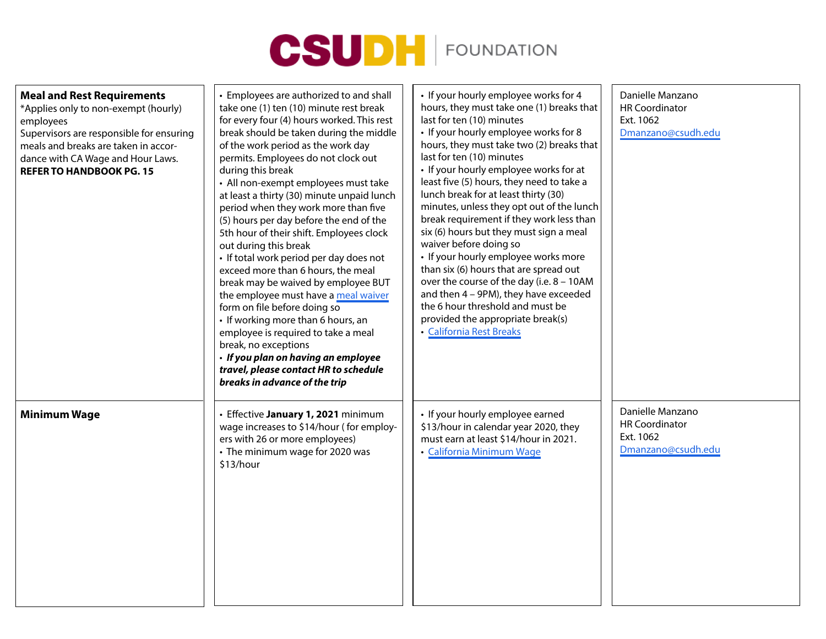

| <b>Meal and Rest Requirements</b><br>*Applies only to non-exempt (hourly)<br>employees<br>Supervisors are responsible for ensuring<br>meals and breaks are taken in accor-<br>dance with CA Wage and Hour Laws.<br><b>REFER TO HANDBOOK PG. 15</b> | • Employees are authorized to and shall<br>take one (1) ten (10) minute rest break<br>for every four (4) hours worked. This rest<br>break should be taken during the middle<br>of the work period as the work day<br>permits. Employees do not clock out<br>during this break<br>• All non-exempt employees must take<br>at least a thirty (30) minute unpaid lunch<br>period when they work more than five<br>(5) hours per day before the end of the<br>5th hour of their shift. Employees clock<br>out during this break<br>· If total work period per day does not<br>exceed more than 6 hours, the meal<br>break may be waived by employee BUT<br>the employee must have a meal waiver<br>form on file before doing so<br>• If working more than 6 hours, an<br>employee is required to take a meal<br>break, no exceptions<br>· If you plan on having an employee<br>travel, please contact HR to schedule<br>breaks in advance of the trip | • If your hourly employee works for 4<br>hours, they must take one (1) breaks that<br>last for ten (10) minutes<br>• If your hourly employee works for 8<br>hours, they must take two (2) breaks that<br>last for ten (10) minutes<br>• If your hourly employee works for at<br>least five (5) hours, they need to take a<br>lunch break for at least thirty (30)<br>minutes, unless they opt out of the lunch<br>break requirement if they work less than<br>six (6) hours but they must sign a meal<br>waiver before doing so<br>• If your hourly employee works more<br>than six (6) hours that are spread out<br>over the course of the day (i.e. 8 - 10AM<br>and then 4 - 9PM), they have exceeded<br>the 6 hour threshold and must be<br>provided the appropriate break(s)<br>• California Rest Breaks | Danielle Manzano<br><b>HR Coordinator</b><br>Ext. 1062<br>Dmanzano@csudh.edu |
|----------------------------------------------------------------------------------------------------------------------------------------------------------------------------------------------------------------------------------------------------|---------------------------------------------------------------------------------------------------------------------------------------------------------------------------------------------------------------------------------------------------------------------------------------------------------------------------------------------------------------------------------------------------------------------------------------------------------------------------------------------------------------------------------------------------------------------------------------------------------------------------------------------------------------------------------------------------------------------------------------------------------------------------------------------------------------------------------------------------------------------------------------------------------------------------------------------------|--------------------------------------------------------------------------------------------------------------------------------------------------------------------------------------------------------------------------------------------------------------------------------------------------------------------------------------------------------------------------------------------------------------------------------------------------------------------------------------------------------------------------------------------------------------------------------------------------------------------------------------------------------------------------------------------------------------------------------------------------------------------------------------------------------------|------------------------------------------------------------------------------|
| <b>Minimum Wage</b>                                                                                                                                                                                                                                | Effective January 1, 2021 minimum<br>wage increases to \$14/hour (for employ-<br>ers with 26 or more employees)<br>• The minimum wage for 2020 was<br>\$13/hour                                                                                                                                                                                                                                                                                                                                                                                                                                                                                                                                                                                                                                                                                                                                                                                   | • If your hourly employee earned<br>\$13/hour in calendar year 2020, they<br>must earn at least \$14/hour in 2021.<br>• California Minimum Wage                                                                                                                                                                                                                                                                                                                                                                                                                                                                                                                                                                                                                                                              | Danielle Manzano<br><b>HR Coordinator</b><br>Ext. 1062<br>Dmanzano@csudh.edu |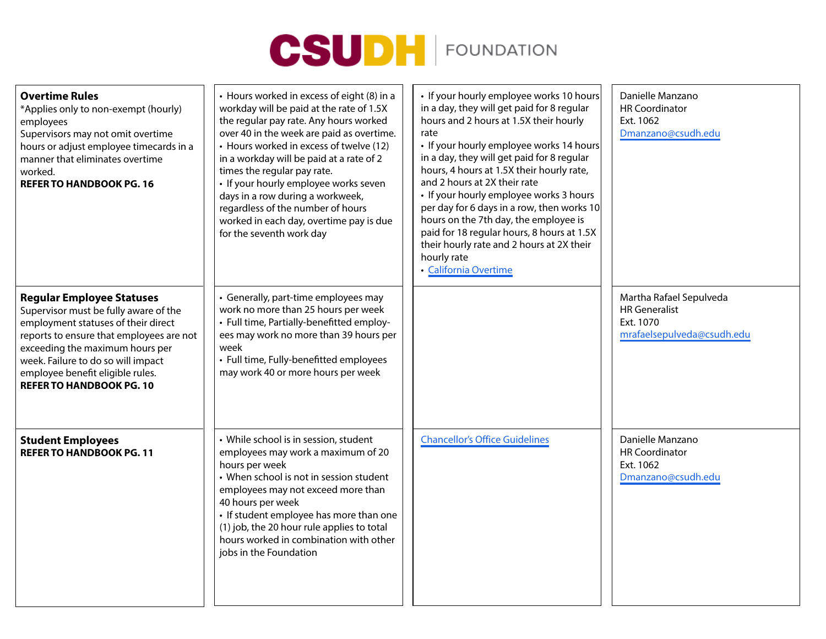

| <b>Overtime Rules</b><br>*Applies only to non-exempt (hourly)<br>employees<br>Supervisors may not omit overtime<br>hours or adjust employee timecards in a<br>manner that eliminates overtime<br>worked.<br><b>REFER TO HANDBOOK PG. 16</b>                                                                  | • Hours worked in excess of eight (8) in a<br>workday will be paid at the rate of 1.5X<br>the regular pay rate. Any hours worked<br>over 40 in the week are paid as overtime.<br>• Hours worked in excess of twelve (12)<br>in a workday will be paid at a rate of 2<br>times the regular pay rate.<br>· If your hourly employee works seven<br>days in a row during a workweek,<br>regardless of the number of hours<br>worked in each day, overtime pay is due<br>for the seventh work day | • If your hourly employee works 10 hours<br>in a day, they will get paid for 8 regular<br>hours and 2 hours at 1.5X their hourly<br>rate<br>• If your hourly employee works 14 hours<br>in a day, they will get paid for 8 regular<br>hours, 4 hours at 1.5X their hourly rate,<br>and 2 hours at 2X their rate<br>• If your hourly employee works 3 hours<br>per day for 6 days in a row, then works 10<br>hours on the 7th day, the employee is<br>paid for 18 regular hours, 8 hours at 1.5X<br>their hourly rate and 2 hours at 2X their<br>hourly rate<br>• California Overtime | Danielle Manzano<br><b>HR Coordinator</b><br>Ext. 1062<br>Dmanzano@csudh.edu               |
|--------------------------------------------------------------------------------------------------------------------------------------------------------------------------------------------------------------------------------------------------------------------------------------------------------------|----------------------------------------------------------------------------------------------------------------------------------------------------------------------------------------------------------------------------------------------------------------------------------------------------------------------------------------------------------------------------------------------------------------------------------------------------------------------------------------------|--------------------------------------------------------------------------------------------------------------------------------------------------------------------------------------------------------------------------------------------------------------------------------------------------------------------------------------------------------------------------------------------------------------------------------------------------------------------------------------------------------------------------------------------------------------------------------------|--------------------------------------------------------------------------------------------|
| <b>Regular Employee Statuses</b><br>Supervisor must be fully aware of the<br>employment statuses of their direct<br>reports to ensure that employees are not<br>exceeding the maximum hours per<br>week. Failure to do so will impact<br>employee benefit eligible rules.<br><b>REFER TO HANDBOOK PG. 10</b> | • Generally, part-time employees may<br>work no more than 25 hours per week<br>• Full time, Partially-benefitted employ-<br>ees may work no more than 39 hours per<br>week<br>• Full time, Fully-benefitted employees<br>may work 40 or more hours per week                                                                                                                                                                                                                                  |                                                                                                                                                                                                                                                                                                                                                                                                                                                                                                                                                                                      | Martha Rafael Sepulveda<br><b>HR</b> Generalist<br>Ext. 1070<br>mrafaelsepulveda@csudh.edu |
| <b>Student Employees</b><br><b>REFER TO HANDBOOK PG. 11</b>                                                                                                                                                                                                                                                  | • While school is in session, student<br>employees may work a maximum of 20<br>hours per week<br>• When school is not in session student<br>employees may not exceed more than<br>40 hours per week<br>• If student employee has more than one<br>(1) job, the 20 hour rule applies to total<br>hours worked in combination with other<br>jobs in the Foundation                                                                                                                             | <b>Chancellor's Office Guidelines</b>                                                                                                                                                                                                                                                                                                                                                                                                                                                                                                                                                | Danielle Manzano<br><b>HR Coordinator</b><br>Ext. 1062<br>Dmanzano@csudh.edu               |